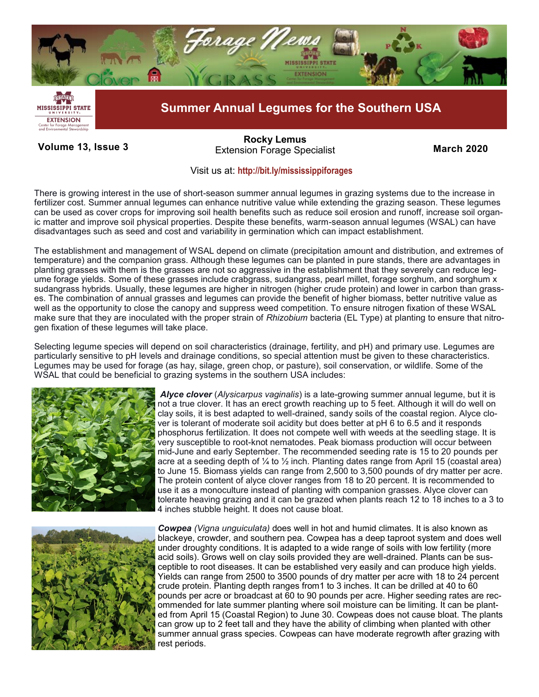

## **Volume 13, Issue 3 March 2020** Extension Forage Specialist **March 2020 [Rocky Lemus](mailto:RLemus@ext.msstate.edu?subject=Forage%20News:%20Janaury%202011)**

## Visit us at: **<http://bit.ly/mississippiforages>**

There is growing interest in the use of short-season summer annual legumes in grazing systems due to the increase in fertilizer cost. Summer annual legumes can enhance nutritive value while extending the grazing season. These legumes can be used as cover crops for improving soil health benefits such as reduce soil erosion and runoff, increase soil organic matter and improve soil physical properties. Despite these benefits, warm-season annual legumes (WSAL) can have disadvantages such as seed and cost and variability in germination which can impact establishment.

The establishment and management of WSAL depend on climate (precipitation amount and distribution, and extremes of temperature) and the companion grass. Although these legumes can be planted in pure stands, there are advantages in planting grasses with them is the grasses are not so aggressive in the establishment that they severely can reduce legume forage yields. Some of these grasses include crabgrass, sudangrass, pearl millet, forage sorghum, and sorghum x sudangrass hybrids. Usually, these legumes are higher in nitrogen (higher crude protein) and lower in carbon than grasses. The combination of annual grasses and legumes can provide the benefit of higher biomass, better nutritive value as well as the opportunity to close the canopy and suppress weed competition. To ensure nitrogen fixation of these WSAL make sure that they are inoculated with the proper strain of *Rhizobium* bacteria (EL Type) at planting to ensure that nitrogen fixation of these legumes will take place.

Selecting legume species will depend on soil characteristics (drainage, fertility, and pH) and primary use. Legumes are particularly sensitive to pH levels and drainage conditions, so special attention must be given to these characteristics. Legumes may be used for forage (as hay, silage, green chop, or pasture), soil conservation, or wildlife. Some of the WSAL that could be beneficial to grazing systems in the southern USA includes:



*Alyce clover* (*Alysicarpus vaginalis*) is a late-growing summer annual legume, but it is not a true clover. It has an erect growth reaching up to 5 feet. Although it will do well on clay soils, it is best adapted to well-drained, sandy soils of the coastal region. Alyce clover is tolerant of moderate soil acidity but does better at pH 6 to 6.5 and it responds phosphorus fertilization. It does not compete well with weeds at the seedling stage. It is very susceptible to root-knot nematodes. Peak biomass production will occur between mid-June and early September. The recommended seeding rate is 15 to 20 pounds per acre at a seeding depth of  $\frac{1}{4}$  to  $\frac{1}{2}$  inch. Planting dates range from April 15 (coastal area) to June 15. Biomass yields can range from 2,500 to 3,500 pounds of dry matter per acre. The protein content of alyce clover ranges from 18 to 20 percent. It is recommended to use it as a monoculture instead of planting with companion grasses. Alyce clover can tolerate heaving grazing and it can be grazed when plants reach 12 to 18 inches to a 3 to 4 inches stubble height. It does not cause bloat.



*Cowpea (Vigna unguiculata)* does well in hot and humid climates. It is also known as blackeye, crowder, and southern pea. Cowpea has a deep taproot system and does well under droughty conditions. It is adapted to a wide range of soils with low fertility (more acid soils). Grows well on clay soils provided they are well-drained. Plants can be susceptible to root diseases. It can be established very easily and can produce high yields. Yields can range from 2500 to 3500 pounds of dry matter per acre with 18 to 24 percent crude protein. Planting depth ranges from1 to 3 inches. It can be drilled at 40 to 60 pounds per acre or broadcast at 60 to 90 pounds per acre. Higher seeding rates are recommended for late summer planting where soil moisture can be limiting. It can be planted from April 15 (Coastal Region) to June 30. Cowpeas does not cause bloat. The plants can grow up to 2 feet tall and they have the ability of climbing when planted with other summer annual grass species. Cowpeas can have moderate regrowth after grazing with rest periods.